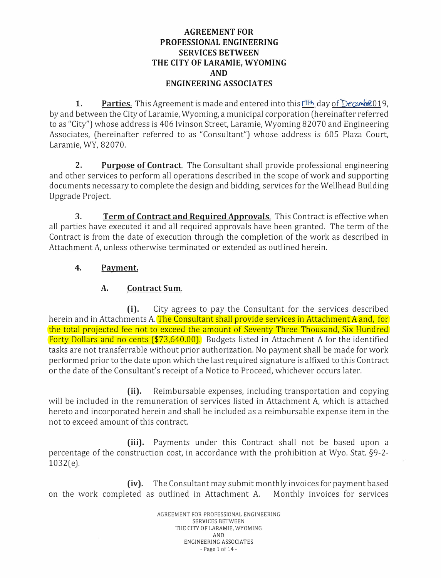#### **AGREEMENT FOR PROFESSIONAL ENGINEERING SERVICES BETWEEN THE CITY OF LARAMIE, WYOMING AND ENGINEERING ASSOCIATES**

**1. Parties.** This Agreement is made and entered into this  $\mathsf{I}^{\dagger\dagger}$  day of  $\mathcal{D}\epsilon$  combiled. by and between the City of Laramie, Wyoming, a municipal corporation (hereinafter referred to as "City") whose address is 406 Ivinson Street, Laramie, Wyoming 82070 and Engineering Associates, (hereinafter referred to as "Consultant") whose address is 605 Plaza Court, Laramie, WY, 82070.

2. **Purpose of Contract.** The Consultant shall provide professional engineering and other services to perform all operations described in the scope of work and supporting documents necessary to complete the design and bidding, services for the Wellhead Building Upgrade Project.

3. **Term of Contract and Required Approvals.** This Contract is effective when all parties have executed it and all required approvals have been granted. The term of the Contract is from the date of execution through the completion of the work as described in Attachment *A,* unless otherwise terminated or extended as outlined herein.

## **4. Payment.**

# **A. Contract Sum.**

**(i).** City agrees to pay the Consultant for the services described herein and in Attachments *A.* The Consultant shall provide services in Attachment *A* and, for the total projected fee not to exceed the amount of Seventy Three Thousand, Six Hundred Forty Dollars and no cents (\$73,640.00). Budgets listed in Attachment *A* for the identified tasks are not transferrable without prior authorization. No payment shall be made for work performed prior to the date upon which the last required signature is affixed to this Contract or the date of the Consultant's receipt of a Notice to Proceed, whichever occurs later.

**(ii).** Reimbursable expenses, including transportation and copying will be included in the remuneration of services listed in Attachment *A,* which is attached hereto and incorporated herein and shall be included as a reimbursable expense item in the not to exceed amount of this contract.

**(iii).** Payments under this Contract shall not be based upon a percentage of the construction cost, in accordance with the prohibition at Wyo. Stat. §9-2-  $1032(e)$ .

**(iv).** The Consultant may submit monthly invoices for payment based on the work completed as outlined in Attachment *A.* Monthly invoices for services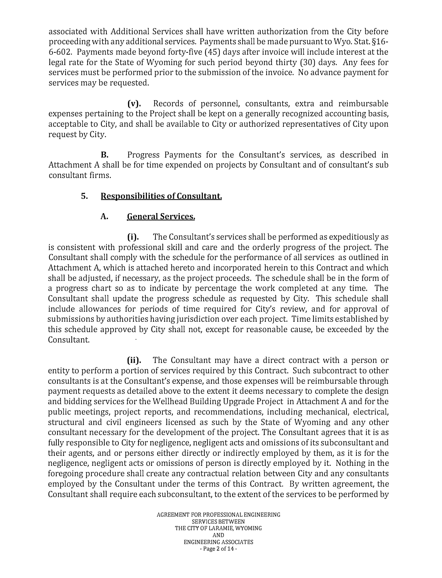associated with Additional Services shall have written authorization from the City before proceeding with any additional services. Payments shall be made pursuant to Wyo. Stat. §16- 6-602. Payments made beyond forty-five ( 45) days after invoice will include interest at the legal rate for the State of Wyoming for such period beyond thirty (30) days. Any fees for services must be performed prior to the submission of the invoice. No advance payment for services may be requested.

**(v).** Records of personnel, consultants, extra and reimbursable expenses pertaining to the Project shall be kept on a generally recognized accounting basis, acceptable to City, and shall be available to City or authorized representatives of City upon request by City.

B. Progress Payments for the Consultant's services, as described in Attachment A shall be for time expended on projects by Consultant and of consultant's sub consultant firms.

# **5. Responsibilities of Consultant.**

## **A. General Services.**

**(i).** The Consultant's services shall be performed as expeditiously as is consistent with professional skill and care and the orderly progress of the project. The Consultant shall comply with the schedule for the performance of all services as outlined in Attachment A, which is attached hereto and incorporated herein to this Contract and which shall be adjusted, if necessary, as the project proceeds. The schedule shall be in the form of a progress chart so as to indicate by percentage the work completed at any time. The Consultant shall update the progress schedule as requested by City. This schedule shall include allowances for periods of time required for City's review, and for approval of submissions by authorities having jurisdiction over each project. Time limits established by this schedule approved by City shall not, except for reasonable cause, be exceeded by the Consultant.

**(ii).** The Consultant may have a direct contract with a person or entity to perform a portion of services required by this Contract. Such subcontract to other consultants is at the Consultant's expense, and those expenses will be reimbursable through payment requests as detailed above to the extent it deems necessary to complete the design and bidding services for the Wellhead Building Upgrade Project in Attachment A and for the public meetings, project reports, and recommendations, including mechanical, electrical, structural and civil engineers licensed as such by the State of Wyoming and any other consultant necessary for the development of the project. The Consultant agrees that it is as fully responsible to City for negligence, negligent acts and omissions of its subconsultant and their agents, and or persons either directly or indirectly employed by them, as it is for the negligence, negligent acts or omissions of person is directly employed by it. Nothing in the foregoing procedure shall create any contractual relation between City and any consultants employed by the Consultant under the terms of this Contract. By written agreement, the Consultant shall require each subconsultant, to the extent of the services to be performed by

> AGREEMENT FOR PROFESSIONAL ENGINEERING SERVICES BETWEEN THE CITY OF LARAMIE, WYOMING AND ENGINEERING ASSOCIATES - Page 2 of 14 -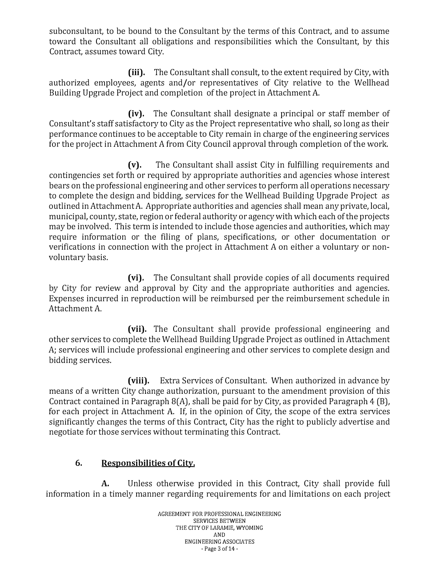subconsultant, to be bound to the Consultant by the terms of this Contract, and to assume toward the Consultant all obligations and responsibilities which the Consultant, by this Contract, assumes toward City.

**(iii).** The Consultant shall consult, to the extent required by City, with authorized employees, agents and/or representatives of City relative to the Wellhead Building Upgrade Project and completion of the project in Attachment A

**(iv).** The Consultant shall designate a principal or staff member of Consultant's staff satisfactory to City as the Project representative who shall, so long as their performance continues to be acceptable to City remain in charge of the engineering services for the project in Attachment A from City Council approval through completion of the work.

**(v).** The Consultant shall assist City in fulfilling requirements and contingencies set forth or required by appropriate authorities and agencies whose interest bears on the professional engineering and other services to perform all operations necessary to complete the design and bidding, services for the Wellhead Building Upgrade Project as outlined in Attachment *A.* Appropriate authorities and agencies shall mean any private, local, municipal, county, state, region or federal authority or agency with which each of the projects may be involved. This term is intended to include those agencies and authorities, which may require information or the filing of plans, specifications, or other documentation or verifications in connection with the project in Attachment A on either a voluntary or nonvoluntary basis.

**(vi).** The Consultant shall provide copies of all documents required by City for review and approval by City and the appropriate authorities and agencies. Expenses incurred in reproduction will be reimbursed per the reimbursement schedule in Attachment A.

**(vii).** The Consultant shall provide professional engineering and other services to complete the Wellhead Building Upgrade Project as outlined in Attachment A; services will include professional engineering and other services to complete design and bidding services.

**(viii).** Extra Services of Consultant. When authorized in advance by means of a written City change authorization, pursuant to the amendment provision of this Contract contained in Paragraph 8(A), shall be paid for by City, as provided Paragraph 4 (B), for each project in Attachment A. If, in the opinion of City, the scope of the extra services significantly changes the terms of this Contract, City has the right to publicly advertise and negotiate for those services without terminating this Contract.

## **6. Responsibilities of City.**

A. Unless otherwise provided in this Contract, City shall provide full information in a timely manner regarding requirements for and limitations on each project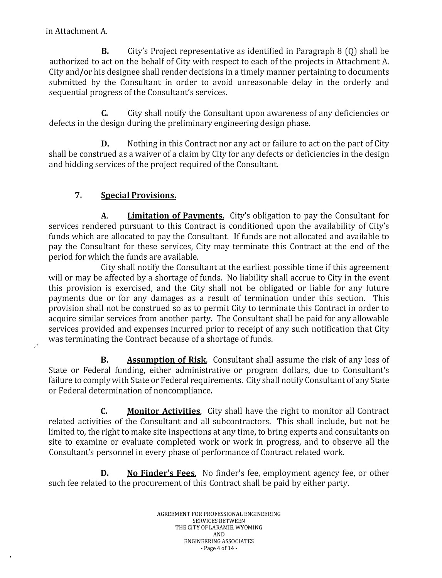in Attachment A

B. City's Project representative as identified in Paragraph 8 (Q) shall be authorized to act on the behalf of City with respect to each of the projects in Attachment A City and/or his designee shall render decisions in a timely manner pertaining to documents submitted by the Consultant in order to avoid unreasonable delay in the orderly and sequential progress of the Consultant's services.

C. City shall notify the Consultant upon awareness of any deficiencies or defects in the design during the preliminary engineering design phase.

D. Nothing in this Contract nor any act or failure to act on the part of City shall be construed as a waiver of a claim by City for any defects or deficiencies in the design and bidding services of the project required of the Consultant.

# **7. Special Provisions.**

A. **Limitation of Payments.** City's obligation to pay the Consultant for services rendered pursuant to this Contract is conditioned upon the availability of City's funds which are allocated to pay the Consultant. If funds are not allocated and available to pay the Consultant for these services, City may terminate this Contract at the end of the period for which the funds are available.

City shall notify the Consultant at the earliest possible time if this agreement will or may be affected by a shortage of funds. No liability shall accrue to City in the event this provision is exercised, and the City shall not be obligated or liable for any future payments due or for any damages as a result of termination under this section. This provision shall not be construed so as to permit City to terminate this Contract in order to acquire similar services from another party. The Consultant shall be paid for any allowable services provided and expenses incurred prior to receipt of any such notification that City was terminating the Contract because of a shortage of funds.

**B. Assumption of Risk.** Consultant shall assume the risk of any loss of State or Federal funding, either administrative or program dollars, due to Consultant's failure to comply with State or Federal requirements. City shall notify Consultant of any State or Federal determination of noncompliance.

**C. Monitor Activities.** City shall have the right to monitor all Contract related activities of the Consultant and all subcontractors. This shall include, but not be limited to, the right to make site inspections at any time, to bring experts and consultants on site to examine or evaluate completed work or work in progress, and to observe all the Consultant's personnel in every phase of performance of Contract related work.

**D. No Finder's Fees.** No finder's fee, employment agency fee, or other such fee related to the procurement of this Contract shall be paid by either party.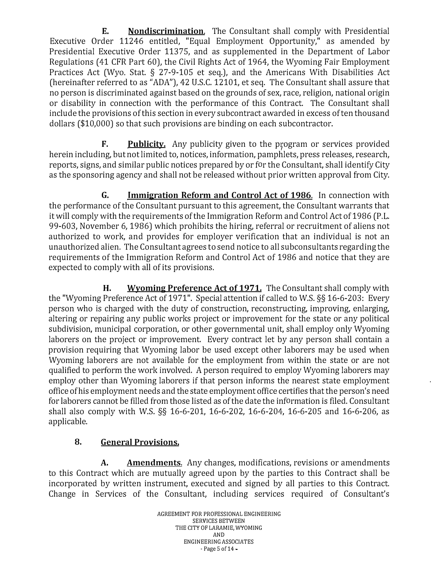**E. Nondiscrimination.** The Consultant shall comply with Presidential Executive Order 11246 entitled, "Equal Employment Opportunity," as amended by Presidential Executive Order 11375, and as supplemented in the Department of Labor Regulations (41 CFR Part 60), the Civil Rights Act of 1964, the Wyoming Fair Employment Practices Act (Wyo. Stat. § 27-9-105 et seq.), and the Americans With Disabilities Act (hereinafter referred to as "ADA"), 42 U.S.C. 12101, et seq. The Consultant shall assure that no person is discriminated against based on the grounds of sex, race, religion, national origin or disability in connection with the performance of this Contract. The Consultant shall include the provisions of this section in every subcontract awarded in excess of ten thousand dollars (\$10,000) so that such provisions are binding on each subcontractor.

F. Publicity. Any publicity given to the program or services provided herein including, but not limited to, notices, information, pamphlets, press releases, research, reports, signs, and similar public notices prepared by or for the Consultant, shall identify City as the sponsoring agency and shall not be released without prior written approval from City.

**G. Immigration Reform and Control Act of 1986.** In connection with the performance of the Consultant pursuant to this agreement, the Consultant warrants that it will comply with the requirements of the Immigration Reform and Control Act of 1986 (P.L. 99-603, November 6, 1986) which prohibits the hiring, referral or recruitment of aliens not authorized to work, and provides for employer verification that an individual is not an unauthorized alien. The Consultant agrees to send notice to all subconsultants regarding the requirements of the Immigration Reform and Control Act of 1986 and notice that they are expected to comply with all of its provisions.

**H. Wyoming Preference Act of 1971.** The Consultant shall comply with the "Wyoming Preference Act of 1971". Special attention if called to W.S. §§ 16-6-203: Every person who is charged with the duty of construction, reconstructing, improving, enlarging, altering or repairing any public works project or improvement for the state or any political subdivision, municipal corporation, or other governmental unit, shall employ only Wyoming laborers on the project or improvement. Every contract let by any person shall contain a provision requiring that Wyoming labor be used except other laborers may be used when Wyoming laborers are not available for the employment from within the state or are not qualified to perform the work involved. A person required to employ Wyoming laborers may employ other than Wyoming laborers if that person informs the nearest state employment office of his employment needs and the state employment office certifies that the person's need for laborers cannot be filled from those listed as of the date the information is filed. Consultant shall also comply with W.S. §§ 16-6-201, 16-6-202, 16-6-204, 16-6-205 and 16-6-206, as applicable.

## **8. General Provisions.**

**A. Amendments.** Any changes, modifications, revisions or amendments to this Contract which are mutually agreed upon by the parties to this Contract shall be incorporated by written instrument, executed and signed by all parties to this Contract. Change in Services of the Consultant, including services required of Consultant's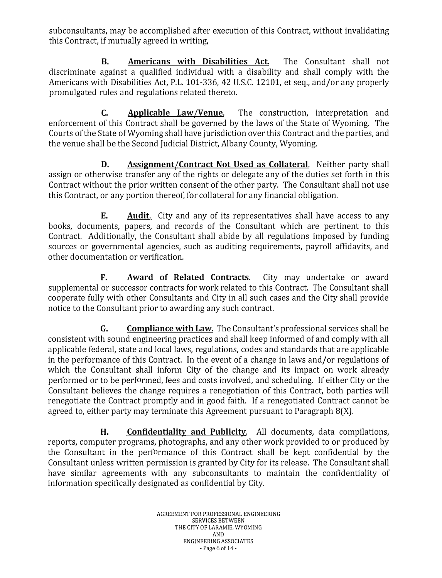subconsultants, may be accomplished after execution of this Contract, without invalidating this Contract, if mutually agreed in writing,

**B. Americans with Disabilities Act.** The Consultant shall not discriminate against a qualified individual with a disability and shall comply with the Americans with Disabilities Act, P.L. 101-336, 42 U.S.C. 12101, et seq., and/or any properly promulgated rules and regulations related thereto.

C. **Applicable Law /Venue.** The construction, interpretation and enforcement of this Contract shall be governed by the laws of the State of Wyoming. The Courts of the State of Wyoming shall have jurisdiction over this Contract and the parties, and the venue shall be the Second Judicial District, Albany County, Wyoming.

**D. Assignment/Contract Not Used as Collateral.** Neither party shall assign or otherwise transfer any of the rights or delegate any of the duties set forth in this Contract without the prior written consent of the other party. The Consultant shall not use this Contract, or any portion thereof, for collateral for any financial obligation.

**E. Audit.** City and any of its representatives shall have access to any books, documents, papers, and records of the Consultant which are pertinent to this Contract. Additionally, the Consultant shall abide by all regulations imposed by funding sources or governmental agencies, such as auditing requirements, payroll affidavits, and other documentation or verification.

**F. Award of Related Contracts.** City may undertake or award supplemental or successor contracts for work related to this Contract. The Consultant shall cooperate fully with other Consultants and City in all such cases and the City shall provide notice to the Consultant prior to awarding any such contract.

**G. Compliance with Law.** The Consultant's professional services shall be consistent with sound engineering practices and shall keep informed of and comply with all applicable federal, state and local laws, regulations, codes and standards that are applicable in the performance of this Contract. In the event of a change in laws and/or regulations of which the Consultant shall inform City of the change and its impact on work already performed or to be performed, fees and costs involved, and scheduling. If either City or the Consultant believes the change requires a renegotiation of this Contract, both parties will renegotiate the Contract promptly and in good faith. If a renegotiated Contract cannot be agreed to, either party may terminate this Agreement pursuant to Paragraph 8(X).

**H. Confidentiality and Publicity.** All documents, data compilations, reports, computer programs, photographs, and any other work provided to or produced by the Consultant in the performance of this Contract shall be kept confidential by the Consultant unless written permission is granted by City for its release. The Consultant shall have similar agreements with any subconsultants to maintain the confidentiality of information specifically designated as confidential by City.

> AGREEMENT FOR PROFESSIONAL ENGINEERING SERVICES BETWEEN THE CITY OF LARAMIE, WYOMING AND ENGINEERING ASSOCIATES - Page 6 of 14 -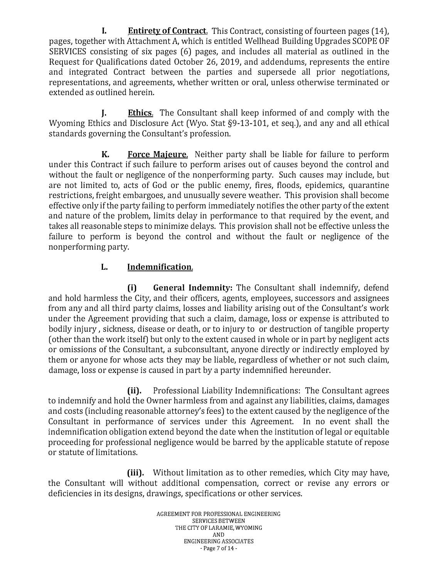**I. Entirety of Contract.** This Contract, consisting of fourteen pages (14), pages, together with Attachment A, which is entitled Wellhead Building Upgrades SCOPE OF SERVICES consisting of six pages (6) pages, and includes all material as outlined in the Request for Qualifications dated October 26, 2019, and addendums, represents the entire and integrated Contract between the parties and supersede all prior negotiations, representations, and agreements, whether written or oral, unless otherwise terminated or extended as outlined herein.

J. **Ethics.** The Consultant shall keep informed of and comply with the Wyoming Ethics and Disclosure Act (Wyo. Stat §9-13-101, et seq.), and any and all ethical standards governing the Consultant's profession.

**K. Force Majeure.** Neither party shall be liable for failure to perform under this Contract if such failure to perform arises out of causes beyond the control and without the fault or negligence of the nonperforming party. Such causes may include, but are not limited to, acts of God or the public enemy, fires, floods, epidemics, quarantine restrictions, freight embargoes, and unusually severe weather. This provision shall become effective only if the party failing to perform immediately notifies the other party of the extent and nature of the problem, limits delay in performance to that required by the event, and takes all reasonable steps to minimize delays. This provision shall not be effective unless the failure to perform is beyond the control and without the fault or negligence of the nonperforming party.

## **L. Indemnification.**

**(i) General Indemnity:** The Consultant shall indemnify, defend and hold harmless the City, and their officers, agents, employees, successors and assignees from any and all third party claims, losses and liability arising out of the Consultant's work under the Agreement providing that such a claim, damage, loss or expense is attributed to bodily injury , sickness, disease or death, or to injury to or destruction of tangible property ( other than the work itself) but only to the extent caused in whole or in part by negligent acts or omissions of the Consultant, a subconsultant, anyone directly or indirectly employed by them or anyone for whose acts they may be liable, regardless of whether or not such claim, damage, loss or expense is caused in part by a party indemnified hereunder.

**(ii).** Professional Liability Indemnifications: The Consultant agrees to indemnify and hold the Owner harmless from and against any liabilities, claims, damages and costs (including reasonable attorney's fees) to the extent caused by the negligence of the Consultant in performance of services under this Agreement. In no event shall the indemnification obligation extend beyond the date when the institution of legal or equitable proceeding for professional negligence would be barred by the applicable statute of repose or statute of limitations.

**(iii).** Without limitation as to other remedies, which City may have, the Consultant will without additional compensation, correct or revise any errors or deficiencies in its designs, drawings, specifications or other services.

> AGREEMENT FOR PROFESSIONAL ENGINEERING SERVICES BETWEEN THE CITY OF LARAMIE, WYOMING AND ENGINEERING ASSOCIATES - Page 7 of 14 -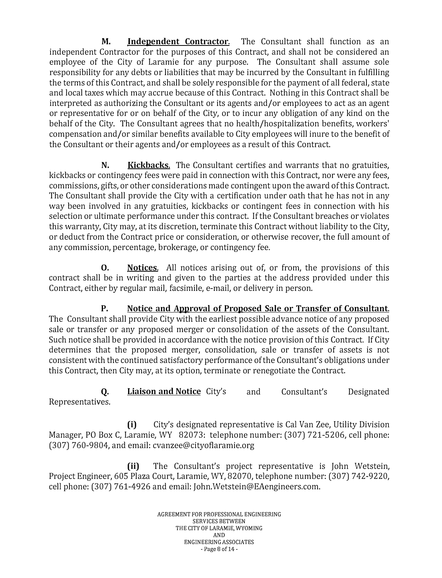**M. Independent Contractor.** The Consultant shall function as an independent Contractor for the purposes of this Contract, and shall not be considered an employee of the City of Laramie for any purpose. The Consultant shall assume sole responsibility for any debts or liabilities that may be incurred by the Consultant in fulfilling the terms of this Contract, and shall be solely responsible for the payment of all federal, state and local taxes which may accrue because of this Contract. Nothing in this Contract shall be interpreted as authorizing the Consultant or its agents and/or employees to act as an agent or representative for or on behalf of the City, or to incur any obligation of any kind on the behalf of the City. The Consultant agrees that no health/hospitalization benefits, workers' compensation and/or similar benefits available to City employees will inure to the benefit of the Consultant or their agents and/ or employees as a result of this Contract.

**N. Kickbacks.** The Consultant certifies and warrants that no gratuities, kickbacks or contingency fees were paid in connection with this Contract, nor were any fees, commissions, gifts, or other considerations made contingent upon the award of this Contract. The Consultant shall provide the City with a certification under oath that he has not in any way been involved in any gratuities, kickbacks or contingent fees in connection with his selection or ultimate performance under this contract. If the Consultant breaches or violates this warranty, City may, at its discretion, terminate this Contract without liability to the City, or deduct from the Contract price or consideration, or otherwise recover, the full amount of any commission, percentage, brokerage, or contingency fee.

**0. Notices.** All notices arising out of, or from, the provisions of this contract shall be in writing and given to the parties at the address provided under this Contract, either by regular mail, facsimile, e-mail, or delivery in person.

**P. Notice and Approval of Proposed Sale or Transfer of Consultant.** The Consultant shall provide City with the earliest possible advance notice of any proposed sale or transfer or any proposed merger or consolidation of the assets of the Consultant. Such notice shall be provided in accordance with the notice provision of this Contract. If City determines that the proposed merger, consolidation, sale or transfer of assets is not consistent with the continued satisfactory performance of the Consultant's obligations under this Contract, then City may, at its option, terminate or renegotiate the Contract.

**Q.**  Representatives. **Liaison and Notice** City's and Consultant's Designated

**(i)** City's designated representative is Cal Van Zee, Utility Division Manager, PO Box C, Laramie, WY 82073: telephone number: (307) 721-5206, cell phone: (307) 760-9804, and email: cvanzee@cityoflaramie.org

**(ii)** The Consultant's project representative is John Wetstein, Project Engineer, 605 Plaza Court, Laramie, WY, 82070, telephone number: (307) 742-9220, cell phone: (307) 761-4926 and email: John.Wetstein@EAengineers.com.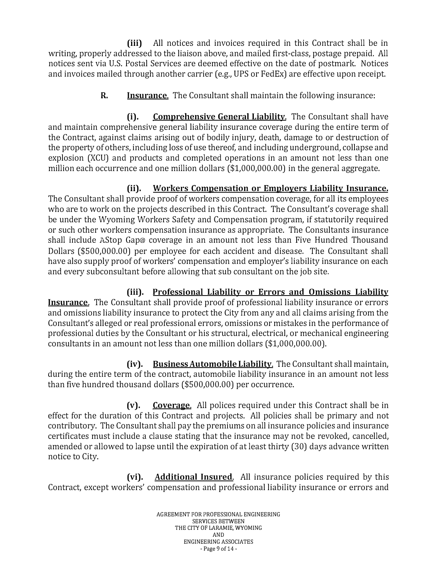**(iii)** All notices and invoices required in this Contract shall be in writing, properly addressed to the liaison above, and mailed first-class, postage prepaid. All notices sent via U.S. Postal Services are deemed effective on the date of postmark. Notices and invoices mailed through another carrier (e.g., UPS or FedEx) are effective upon receipt.

# **R. Insurance.** The Consultant shall maintain the following insurance:

**(i). Comprehensive General Liability.** The Consultant shall have and maintain comprehensive general liability insurance coverage during the entire term of the Contract, against claims arising out of bodily injury, death, damage to or destruction of the property of others, including loss of use thereof, and including underground, collapse and explosion (XCU) and products and completed operations in an amount not less than one million each occurrence and one million dollars (\$1,000,000.00) in the general aggregate.

**(ii). Workers Compensation or Employers Liability Insurance.** 

The Consultant shall provide proof of workers compensation coverage, for all its employees who are to work on the projects described in this Contract. The Consultant's coverage shall be under the Wyoming Workers Safety and Compensation program, if statutorily required or such other workers compensation insurance as appropriate. The Consultants insurance shall include AStop Gap@ coverage in an amount not less than Five Hundred Thousand Dollars (\$500,000.00) per employee for each accident and disease. The Consultant shall have also supply proof of workers' compensation and employer's liability insurance on each and every subconsultant before allowing that sub consultant on the job site.

**(iii). Professional Liability or Errors and Omissions Liability Insurance.** The Consultant shall provide proof of professional liability insurance or errors and omissions liability insurance to protect the City from any and all claims arising from the Consultant's alleged or real professional errors, omissions or mistakes in the performance of professional duties by the Consultant or his structural, electrical, or mechanical engineering consultants in an amount not less than one million dollars (\$1,000,000.00).

**(iv). Business Automobile Liability.** The Consultant shall maintain, during the entire term of the contract, automobile liability insurance in an amount not less than five hundred thousand dollars (\$500,000.00) per occurrence.

**(v). Coverage.** All polices required under this Contract shall be in effect for the duration of this Contract and projects. All policies shall be primary and not contributory. The Consultant shall pay the premiums on all insurance policies and insurance certificates must include a clause stating that the insurance may not be revoked, cancelled, amended or allowed to lapse until the expiration of at least thirty (30) days advance written notice to City.

**(vi). Additional Insured.** All insurance policies required by this Contract, except workers' compensation and professional liability insurance or errors and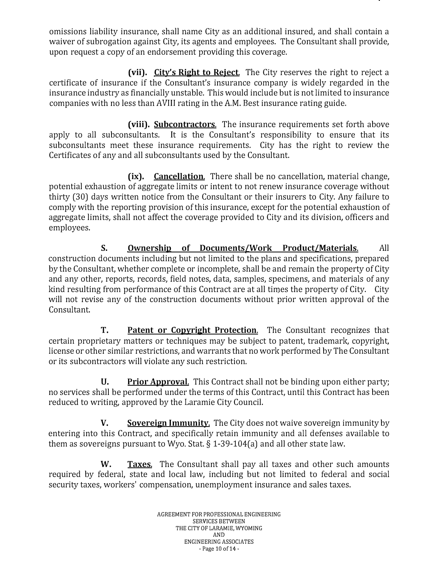omissions liability insurance, shall name City as an additional insured, and shall contain a waiver of subrogation against City, its agents and employees. The Consultant shall provide, upon request a copy of an endorsement providing this coverage.

**(vii). City's Right to Reject.** The City reserves the right to reject a certificate of insurance if the Consultant's insurance company is widely regarded in the insurance industry as financially unstable. This would include but is not limited to insurance companies with no less than AVIII rating in the A.M. Best insurance rating guide.

**(viii). Subcontractors.** The insurance requirements set forth above apply to all subconsultants. It is the Consultant's responsibility to ensure that its subconsultants meet these insurance requirements. City has the right to review the Certificates of any and all subconsultants used by the Consultant.

**(ix). Cancellation.** There shall be no cancellation, material change, potential exhaustion of aggregate limits or intent to not renew insurance coverage without thirty (30) days written notice from the Consultant or their insurers to City. Any failure to comply with the reporting provision of this insurance, except for the potential exhaustion of aggregate limits, shall not affect the coverage provided to City and its division, officers and employees.

**S. Ownership of Documents/Work Product/Materials.** All construction documents including but not limited to the plans and specifications, prepared by the Consultant, whether complete or incomplete, shall be and remain the property of City and any other, reports, records, field notes, data, samples, specimens, and materials of any kind resulting from performance of this Contract are at all times the property of City. City will not revise any of the construction documents without prior written approval of the Consultant.

**T. Patent or Copyright Protection.** The Consultant recognizes that certain proprietary matters or techniques may be subject to patent, trademark, copyright, license or other similar restrictions, and warrants that no work performed by The Consultant or its subcontractors will violate any such restriction.

**U. Prior Approval.** This Contract shall not be binding upon either party; no services shall be performed under the terms of this Contract, until this Contract has been reduced to writing, approved by the Laramie City Council.

**V. Sovereign Immunity.** The City does not waive sovereign immunity by entering into this Contract, and specifically retain immunity and all defenses available to them as sovereigns pursuant to Wyo. Stat.  $\S$  1-39-104(a) and all other state law.

**W. Taxes.** The Consultant shall pay all taxes and other such amounts required by federal, state and local law, including but not limited to federal and social security taxes, workers' compensation, unemployment insurance and sales taxes.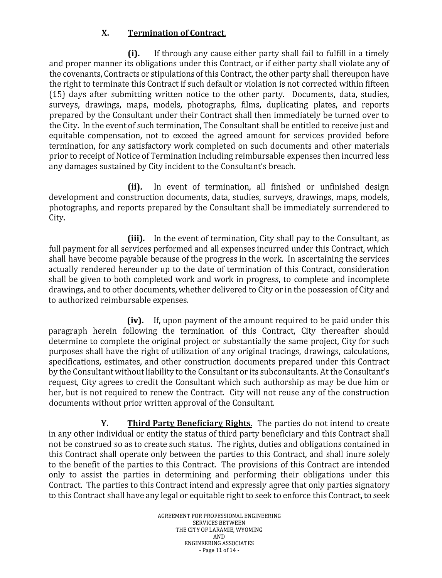## **X. Termination of Contract.**

**(i).** If through any cause either party shall fail to fulfill in a timely and proper manner its obligations under this Contract, or if either party shall violate any of the covenants, Contracts or stipulations of this Contract, the other party shall thereupon have the right to terminate this Contract if such default or violation is not corrected within fifteen (15) days after submitting written notice to the other party. Documents, data, studies, surveys, drawings, maps, models, photographs, films, duplicating plates, and reports prepared by the Consultant under their Contract shall then immediately be turned over to the City. In the event of such termination, The Consultant shall be entitled to receive just and equitable compensation, not to exceed the agreed amount for services provided before termination, for any satisfactory work completed on such documents and other materials prior to receipt of Notice of Termination including reimbursable expenses then incurred less any damages sustained by City incident to the Consultant's breach.

**(ii).** In event of termination, all finished or unfinished design development and construction documents, data, studies, surveys, drawings, maps, models, photographs, and reports prepared by the Consultant shall be immediately surrendered to City.

**(iii).** In the event of termination, City shall pay to the Consultant, as full payment for all services performed and all expenses incurred under this Contract, which shall have become payable because of the progress in the work. In ascertaining the services actually rendered hereunder up to the date of termination of this Contract, consideration shall be given to both completed work and work in progress, to complete and incomplete drawings, and to other documents, whether delivered to City or in the possession of City and to authorized reimbursable expenses.

**(iv).** If, upon payment of the amount required to be paid under this paragraph herein following the termination of this Contract, City thereafter should determine to complete the original project or substantially the same project, City for such purposes shall have the right of utilization of any original tracings, drawings, calculations, specifications, estimates, and other construction documents prepared under this Contract by the Consultant without liability to the Consultant or its subconsultants. At the Consultant's request, City agrees to credit the Consultant which such authorship as may be due him or her, but is not required to renew the Contract. City will not reuse any of the construction documents without prior written approval of the Consultant.

**Y. Third Party Beneficiary Rights.** The parties do not intend to create in any other individual or entity the status of third party beneficiary and this Contract shall not be construed so as to create such status. The rights, duties and obligations contained in this Contract shall operate only between the parties to this Contract, and shall inure solely to the benefit of the parties to this Contract. The provisions of this Contract are intended only to assist the parties in determining and performing their obligations under this Contract. The parties to this Contract intend and expressly agree that only parties signatory to this Contract shall have any legal or equitable right to seek to enforce this Contract, to seek

> AGREEMENT FOR PROFESSIONAL ENGINEERING SERVICES BETWEEN THE CITY OF LARAMIE, WYOMING AND ENGINEERING ASSOCIATES  $-$  Page 11 of 14  $-$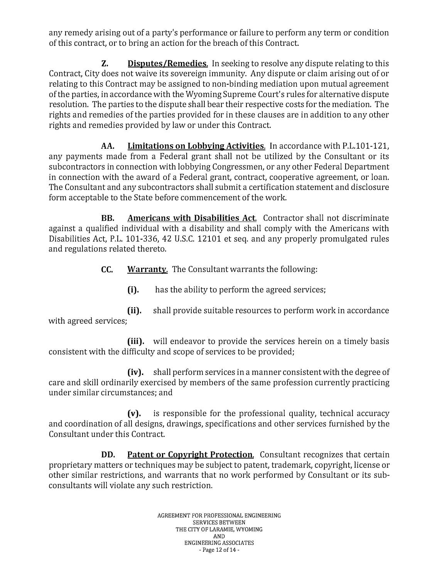any remedy arising out of a party's performance or failure to perform any term or condition of this contract, or to bring an action for the breach of this Contract.

**Z. Disputes/Remedies.** In seeking to resolve any dispute relating to this Contract, City does not waive its sovereign immunity. Any dispute or claim arising out of or relating to this Contract may be assigned to non-binding mediation upon mutual agreement of the parties, in accordance with the Wyoming Supreme Court's rules for alternative dispute resolution. The parties to the dispute shall bear their respective costs for the mediation. The rights and remedies of the parties provided for in these clauses are in addition to any other rights and remedies provided by law or under this Contract.

AA. **Limitations on Lobbying Activities.** In accordance with P.L.101-121, any payments made from a Federal grant shall not be utilized by the Consultant or its subcontractors in connection with lobbying Congressmen, or any other Federal Department in connection with the award of a Federal grant, contract, cooperative agreement, or loan. The Consultant and any subcontractors shall submit a certification statement and disclosure form acceptable to the State before commencement of the work

BB. **Americans with Disabilities Act.** Contractor shall not discriminate against a qualified individual with a disability and shall comply with the Americans with Disabilities Act, P.L. 101-336, 42 U.S.C. 12101 et seq. and any properly promulgated rules and regulations related thereto.

**CC. Warranty.** The Consultant warrants the following:

**(i).** has the ability to perform the agreed services;

**(ii).** shall provide suitable resources to perform work in accordance with agreed services;

**(iii).** will endeavor to provide the services herein on a timely basis consistent with the difficulty and scope of services to be provided;

**(iv).** shall perform services in a manner consistent with the degree of care and skill ordinarily exercised by members of the same profession currently practicing under similar circumstances; and

**(v).** is responsible for the professional quality, technical accuracy and coordination of all designs, drawings, specifications and other services furnished by the Consultant under this Contract.

**DD. Patent or Copyright Protection.** Consultant recognizes that certain proprietary matters or techniques may be subject to patent, trademark, copyright, license or other similar restrictions, and warrants that no work performed by Consultant or its subconsultants will violate any such restriction.

> AGREEMENT FOR PROFESSIONAL ENGINEERING SERVICES BETWEEN THE CITY OF LARAMIE, WYOMING AND ENGINEERING ASSOCIATES -Page12of14-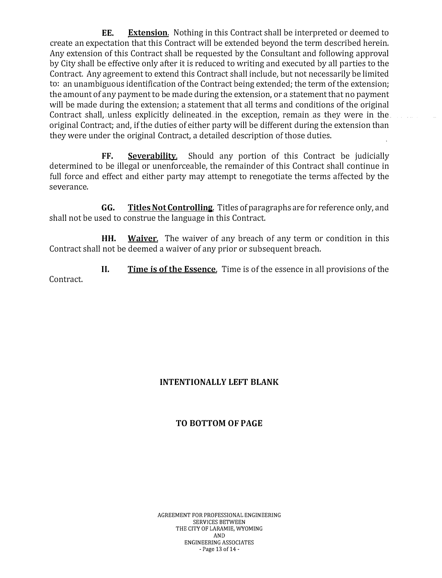**EE. Extension.** Nothing in this Contract shall be interpreted or deemed to create an expectation that this Contract will be extended beyond the term described herein. Any extension of this Contract shall be requested by the Consultant and following approval by City shall be effective only after it is reduced to writing and executed by all parties to the Contract. Any agreement to extend this Contract shall include, but not necessarily be limited to: an unambiguous identification of the Contract being extended; the term of the extension; the amount of any payment to be made during the extension, or a statement that no payment will be made during the extension; a statement that all terms and conditions of the original Contract shall, unless explicitly delineated in the exception, remain as they were in the original Contract; and, if the duties of either party will be different during the extension than they were under the original Contract, a detailed description of those duties.

**FF. Severability.** Should any portion of this Contract be judicially determined to be illegal or unenforceable, the remainder of this Contract shall continue in full force and effect and either party may attempt to renegotiate the terms affected by the severance.

**GG. Titles Not Controlling.** Titles of paragraphs are for reference only, and shall not be used to construe the language in this Contract.

**HH. Waiver.** The waiver of any breach of any term or condition in this Contract shall not be deemed a waiver of any prior or subsequent breach.

Contract. **II. Time is of the Essence.** Time is of the essence in all provisions of the

#### **INTENTIONALLY LEFT BLANK**

#### **TO BOTTOM OF PAGE**

AGREEMENT FOR PROFESSIONAL ENGINEERING SERVICES BETWEEN THE CITY OF LARAMIE, WYOMING AND ENGINEERING ASSOCIATES  $-$  Page 13 of 14 $-$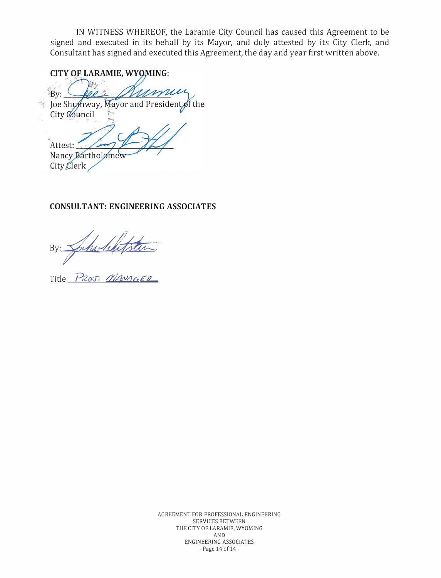IN WITNESS WHEREOF, the Laramie City Council has caused this Agreement to be signed and executed in its behalf by its Mayor, and duly attested by its City Clerk, and Consultant has signed and executed this Agreement, the day and year first written above.

**CITY OF LARAMIE, WYOMING:** 

Bv: Joe Shumway, Mayor and President of the City Council

Attest: Nancy Bartholomev City Clerk

## **CONSUL TANT: ENGINEERING ASSOCIATES**

By: Shaha Asht

Title *Pizot: Manager* 

AGREEMENT FOR PROFESSIONAL ENGINEERING SERVICES BETWEEN THE CITY OF LARAMIE, WYOMING AND ENGINEERING ASSOCIATES -Page 14of14-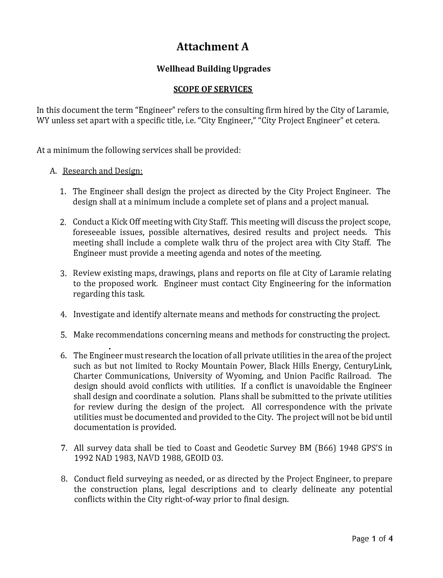# **Attachment A**

## **Wellhead Building Upgrades**

#### **SCOPE OF SERVICES**

In this document the term "Engineer" refers to the consulting firm hired by the City of Laramie, WY unless set apart with a specific title, i.e. "City Engineer," "City Project Engineer" et cetera.

At a minimum the following services shall be provided:

#### A. Research and Design:

- 1. The Engineer shall design the project as directed by the City Project Engineer. The design shall at a minimum include a complete set of plans and a project manual.
- 2. Conduct a Kick Off meeting with City Staff. This meeting will discuss the project scope, foreseeable issues, possible alternatives, desired results and project needs. This meeting shall include a complete walk thru of the project area with City Staff. The Engineer must provide a meeting agenda and notes of the meeting.
- 3. Review existing maps, drawings, plans and reports on file at City of Laramie relating to the proposed work. Engineer must contact City Engineering for the information regarding this task.
- 4. Investigate and identify alternate means and methods for constructing the project.
- 5. Make recommendations concerning means and methods for constructing the project.
- 6. The Engineer must research the location of all private utilities in the area of the project such as but not limited to Rocky Mountain Power, Black Hills Energy, CenturyLink, Charter Communications, University of Wyoming, and Union Pacific Railroad. The design should avoid conflicts with utilities. If a conflict is unavoidable the Engineer shall design and coordinate a solution. Plans shall be submitted to the private utilities for review during the design of the project. All correspondence with the private utilities must be documented and provided to the City. The project will not be bid until documentation is provided.
- 7. All survey data shall be tied to Coast and Geodetic Survey BM (B66) 1948 GPS'S in 1992 NAD 1983, NAVD 1988, GEOID 03.
- 8. Conduct field surveying as needed, or as directed by the Project Engineer, to prepare the construction plans, legal descriptions and to clearly delineate any potential conflicts within the City right-of-way prior to final design.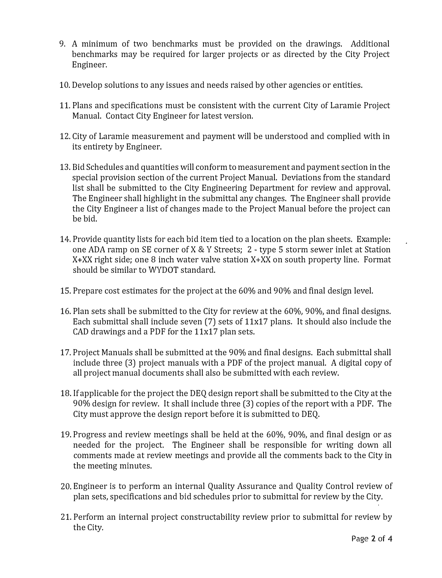- 9. *A* minimum of two benchmarks must be provided on the drawings. Additional benchmarks may be required for larger projects or as directed by the City Project Engineer.
- 10. Develop solutions to any issues and needs raised by other agencies or entities.
- 11. Plans and specifications must be consistent with the current City of Laramie Project Manual. Contact City Engineer for latest version.
- 12. City of Laramie measurement and payment will be understood and complied with in its entirety by Engineer.
- 13. Bid Schedules and quantities will conform to measurement and payment section in the special provision section of the current Project Manual. Deviations from the standard list shall he submitted to the City Engineering Department for review and approval. The Engineer shall highlight in the submittal any changes. The Engineer shall provide the City Engineer a list of changes made to the Project Manual before the project can be bid.
- 14. Provide quantity lists for each bid item tied to a location on the plan sheets. Example: one ADA ramp on SE corner of X & Y Streets; 2 - type 5 storm sewer inlet at Station X+XX right side; one 8 inch water valve station X+XX on south property line. Format should be similar to WYDOT standard.
- 15. Prepare cost estimates for the project at the 60% and 90% and final design level.
- 16. Plan sets shall be submitted to the City for review at the 60%, 90%, and final designs. Each submittal shall include seven (7) sets of 11x17 plans. It should also include the CAD drawings and a PDF for the 11x17 plan sets.
- 17. Project Manuals shall be submitted at the 90% and final designs. Each submittal shall include three (3) project manuals with a PDF of the project manual. *A* digital copy of all project manual documents shall also be submitted with each review.
- 18. If applicable for the project the DEQ design report shall be submitted to the City at the 90% design for review. It shall include three (3) copies of the report with a PDF. The City must approve the design report before it is submitted to DEQ.
- 19. Progress and review meetings shall be held at the 60%, 90%, and final design or as needed for the project. The Engineer shall be responsible for writing down all comments made at review meetings and provide all the comments back to the City in the meeting minutes.
- 20. Engineer is to perform an internal Quality Assurance and Quality Control review of plan sets, specifications and bid schedules prior to submittal for review by the City.
- 21. Perform an internal project constructability review prior to submittal for review by the City.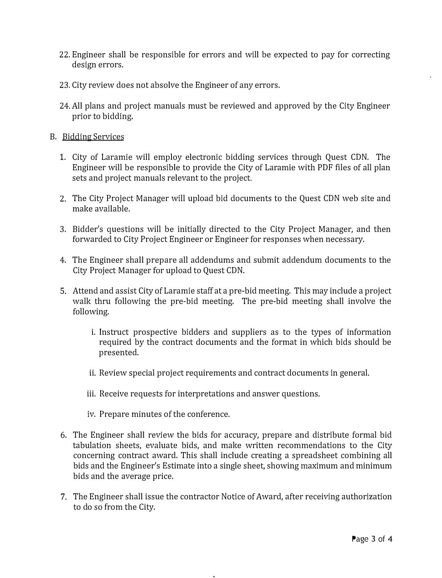- 22. Engineer shall be responsible for errors and will be expected to pay for correcting design errors.
- 23. City review does not absolve the Engineer of any errors.
- 24. All plans and project manuals must be reviewed and approved by the City Engineer prior to bidding.

#### B. Bidding Services

- 1. City of Laramie will employ electronic bidding services through Quest CDN. The Engineer will be responsible to provide the City of Laramie with PDF files of all plan sets and project manuals relevant to the project.
- 2. The City Project Manager will upload bid documents to the Quest CDN web site and make available.
- 3. Bidder's questions will be initially directed to the City Project Manager, and then forwarded to City Project Engineer or Engineer for responses when necessary.
- 4. The Engineer shall prepare all addendums and submit addendum documents to the City Project Manager for upload to Quest CDN.
- 5. Attend and assist City of Laramie staff at a pre-bid meeting. This may include a project walk thru following the pre-bid meeting. The pre-bid meeting shall involve the following.
	- i. Instruct prospective bidders and suppliers as to the types of information required by the contract documents and the format in which bids should be presented.
	- ii. Review special project requirements and contract documents in general.
	- iii. Receive requests for interpretations and answer questions.
	- iv. Prepare minutes of the conference.
- 6. The Engineer shall review the bids for accuracy, prepare and distribute formal bid tabulation sheets, evaluate bids, and make written recommendations to the City concerning contract award. This shall include creating a spreadsheet combining all bids and the Engineer's Estimate into a single sheet, showing maximum and minimum bids and the average price.
- 7. The Engineer shall issue the contractor Notice of Award, after receiving authorization to do so from the City.